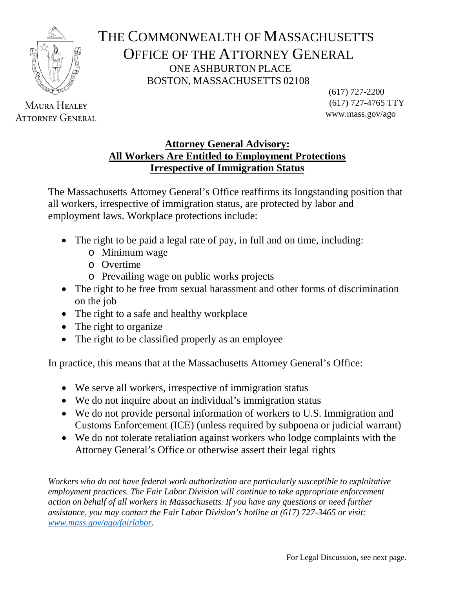

**MAURA HEALEY ATTORNEY GENERAL** 

THE COMMONWEALTH OF MASSACHUSETTS OFFICE OF THE ATTORNEY GENERAL ONE ASHBURTON PLACE BOSTON, MASSACHUSETTS 02108

(617) 727-2200 (617) 727-4765 TTY www.mass.gov/ago

## **Attorney General Advisory: All Workers Are Entitled to Employment Protections Irrespective of Immigration Status**

The Massachusetts Attorney General's Office reaffirms its longstanding position that all workers, irrespective of immigration status, are protected by labor and employment laws. Workplace protections include:

- The right to be paid a legal rate of pay, in full and on time, including:
	- o Minimum wage
	- o Overtime
	- o Prevailing wage on public works projects
- The right to be free from sexual harassment and other forms of discrimination on the job
- The right to a safe and healthy workplace
- The right to organize
- The right to be classified properly as an employee

In practice, this means that at the Massachusetts Attorney General's Office:

- We serve all workers, irrespective of immigration status
- We do not inquire about an individual's immigration status
- We do not provide personal information of workers to U.S. Immigration and Customs Enforcement (ICE) (unless required by subpoena or judicial warrant)
- We do not tolerate retaliation against workers who lodge complaints with the Attorney General's Office or otherwise assert their legal rights

*Workers who do not have federal work authorization are particularly susceptible to exploitative employment practices. The Fair Labor Division will continue to take appropriate enforcement action on behalf of all workers in Massachusetts. If you have any questions or need further assistance, you may contact the Fair Labor Division's hotline at (617) 727-3465 or visit: [www.mass.gov/ago/fairlabor.](http://www.mass.gov/ago/fairlabor)*